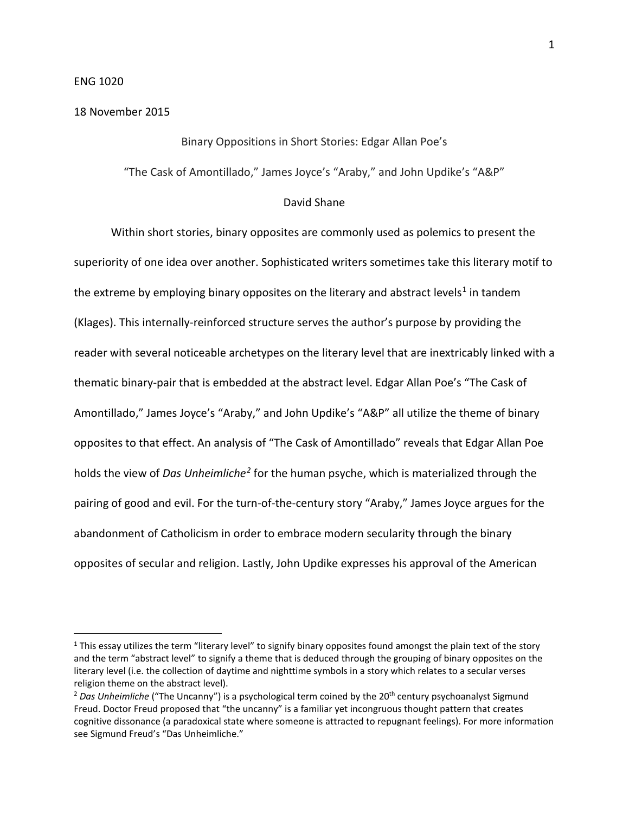### ENG 1020

#### 18 November 2015

### Binary Oppositions in Short Stories: Edgar Allan Poe's

"The Cask of Amontillado," James Joyce's "Araby," and John Updike's "A&P"

### David Shane

Within short stories, binary opposites are commonly used as polemics to present the superiority of one idea over another. Sophisticated writers sometimes take this literary motif to the extreme by employing binary opposites on the literary and abstract levels<sup>[1](#page-0-0)</sup> in tandem (Klages). This internally-reinforced structure serves the author's purpose by providing the reader with several noticeable archetypes on the literary level that are inextricably linked with a thematic binary-pair that is embedded at the abstract level. Edgar Allan Poe's "The Cask of Amontillado," James Joyce's "Araby," and John Updike's "A&P" all utilize the theme of binary opposites to that effect. An analysis of "The Cask of Amontillado" reveals that Edgar Allan Poe holds the view of *Das Unheimliche[2](#page-0-1)* for the human psyche, which is materialized through the pairing of good and evil. For the turn-of-the-century story "Araby," James Joyce argues for the abandonment of Catholicism in order to embrace modern secularity through the binary opposites of secular and religion. Lastly, John Updike expresses his approval of the American

<span id="page-0-0"></span> $1$  This essay utilizes the term "literary level" to signify binary opposites found amongst the plain text of the story and the term "abstract level" to signify a theme that is deduced through the grouping of binary opposites on the literary level (i.e. the collection of daytime and nighttime symbols in a story which relates to a secular verses religion theme on the abstract level).

<span id="page-0-1"></span><sup>&</sup>lt;sup>2</sup> Das Unheimliche ("The Uncanny") is a psychological term coined by the 20<sup>th</sup> century psychoanalyst Sigmund Freud. Doctor Freud proposed that "the uncanny" is a familiar yet incongruous thought pattern that creates cognitive dissonance (a paradoxical state where someone is attracted to repugnant feelings). For more information see Sigmund Freud's "Das Unheimliche."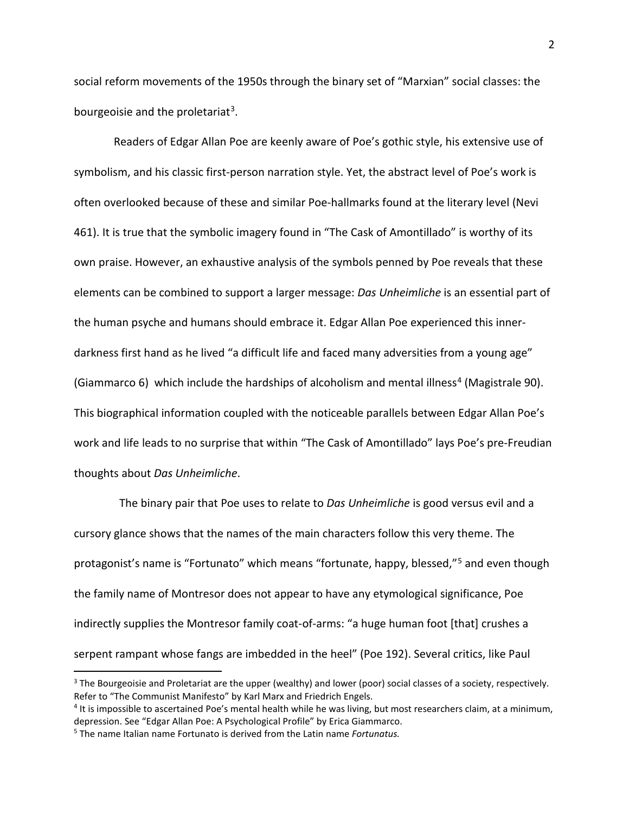social reform movements of the 1950s through the binary set of "Marxian" social classes: the bourgeoisie and the proletariat<sup>3</sup>.

Readers of Edgar Allan Poe are keenly aware of Poe's gothic style, his extensive use of symbolism, and his classic first-person narration style. Yet, the abstract level of Poe's work is often overlooked because of these and similar Poe-hallmarks found at the literary level (Nevi 461). It is true that the symbolic imagery found in "The Cask of Amontillado" is worthy of its own praise. However, an exhaustive analysis of the symbols penned by Poe reveals that these elements can be combined to support a larger message: *Das Unheimliche* is an essential part of the human psyche and humans should embrace it. Edgar Allan Poe experienced this innerdarkness first hand as he lived "a difficult life and faced many adversities from a young age" (Giammarco 6) which include the hardships of alcoholism and mental illness<sup>[4](#page-1-1)</sup> (Magistrale 90). This biographical information coupled with the noticeable parallels between Edgar Allan Poe's work and life leads to no surprise that within "The Cask of Amontillado" lays Poe's pre-Freudian thoughts about *Das Unheimliche*.

The binary pair that Poe uses to relate to *Das Unheimliche* is good versus evil and a cursory glance shows that the names of the main characters follow this very theme. The protagonist's name is "Fortunato" which means "fortunate, happy, blessed,"<sup>[5](#page-1-2)</sup> and even though the family name of Montresor does not appear to have any etymological significance, Poe indirectly supplies the Montresor family coat-of-arms: "a huge human foot [that] crushes a serpent rampant whose fangs are imbedded in the heel" (Poe 192). Several critics, like Paul

<span id="page-1-0"></span><sup>&</sup>lt;sup>3</sup> The Bourgeoisie and Proletariat are the upper (wealthy) and lower (poor) social classes of a society, respectively. Refer to "The Communist Manifesto" by Karl Marx and Friedrich Engels.

<span id="page-1-1"></span> $4$  It is impossible to ascertained Poe's mental health while he was living, but most researchers claim, at a minimum, depression. See "Edgar Allan Poe: A Psychological Profile" by Erica Giammarco.

<span id="page-1-2"></span><sup>5</sup> The name Italian name Fortunato is derived from the Latin name *Fortunatus.*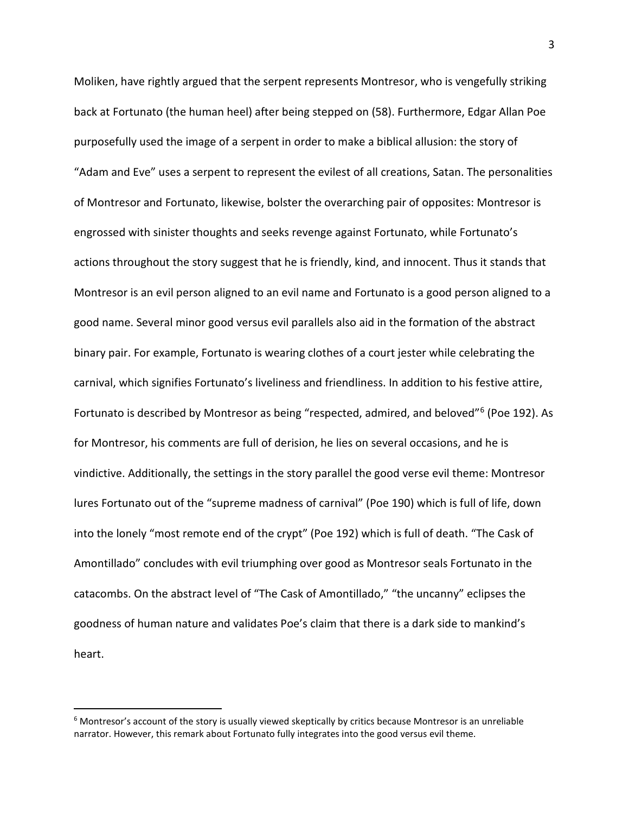Moliken, have rightly argued that the serpent represents Montresor, who is vengefully striking back at Fortunato (the human heel) after being stepped on (58). Furthermore, Edgar Allan Poe purposefully used the image of a serpent in order to make a biblical allusion: the story of "Adam and Eve" uses a serpent to represent the evilest of all creations, Satan. The personalities of Montresor and Fortunato, likewise, bolster the overarching pair of opposites: Montresor is engrossed with sinister thoughts and seeks revenge against Fortunato, while Fortunato's actions throughout the story suggest that he is friendly, kind, and innocent. Thus it stands that Montresor is an evil person aligned to an evil name and Fortunato is a good person aligned to a good name. Several minor good versus evil parallels also aid in the formation of the abstract binary pair. For example, Fortunato is wearing clothes of a court jester while celebrating the carnival, which signifies Fortunato's liveliness and friendliness. In addition to his festive attire, Fortunato is described by Montresor as being "respected, admired, and beloved"[6](#page-2-0) (Poe 192). As for Montresor, his comments are full of derision, he lies on several occasions, and he is vindictive. Additionally, the settings in the story parallel the good verse evil theme: Montresor lures Fortunato out of the "supreme madness of carnival" (Poe 190) which is full of life, down into the lonely "most remote end of the crypt" (Poe 192) which is full of death. "The Cask of Amontillado" concludes with evil triumphing over good as Montresor seals Fortunato in the catacombs. On the abstract level of "The Cask of Amontillado," "the uncanny" eclipses the goodness of human nature and validates Poe's claim that there is a dark side to mankind's heart.

<span id="page-2-0"></span><sup>&</sup>lt;sup>6</sup> Montresor's account of the story is usually viewed skeptically by critics because Montresor is an unreliable narrator. However, this remark about Fortunato fully integrates into the good versus evil theme.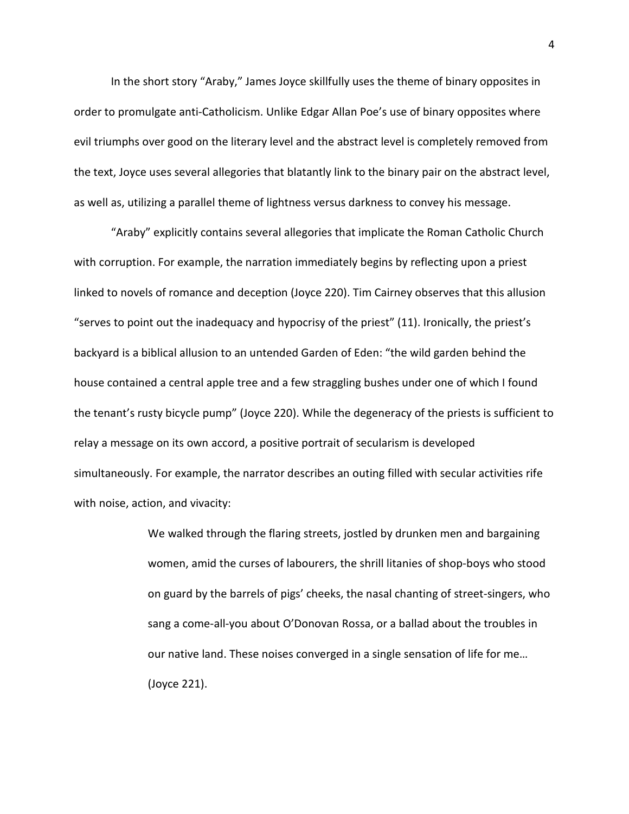In the short story "Araby," James Joyce skillfully uses the theme of binary opposites in order to promulgate anti-Catholicism. Unlike Edgar Allan Poe's use of binary opposites where evil triumphs over good on the literary level and the abstract level is completely removed from the text, Joyce uses several allegories that blatantly link to the binary pair on the abstract level, as well as, utilizing a parallel theme of lightness versus darkness to convey his message.

"Araby" explicitly contains several allegories that implicate the Roman Catholic Church with corruption. For example, the narration immediately begins by reflecting upon a priest linked to novels of romance and deception (Joyce 220). Tim Cairney observes that this allusion "serves to point out the inadequacy and hypocrisy of the priest" (11). Ironically, the priest's backyard is a biblical allusion to an untended Garden of Eden: "the wild garden behind the house contained a central apple tree and a few straggling bushes under one of which I found the tenant's rusty bicycle pump" (Joyce 220). While the degeneracy of the priests is sufficient to relay a message on its own accord, a positive portrait of secularism is developed simultaneously. For example, the narrator describes an outing filled with secular activities rife with noise, action, and vivacity:

> We walked through the flaring streets, jostled by drunken men and bargaining women, amid the curses of labourers, the shrill litanies of shop-boys who stood on guard by the barrels of pigs' cheeks, the nasal chanting of street-singers, who sang a come-all-you about O'Donovan Rossa, or a ballad about the troubles in our native land. These noises converged in a single sensation of life for me… (Joyce 221).

4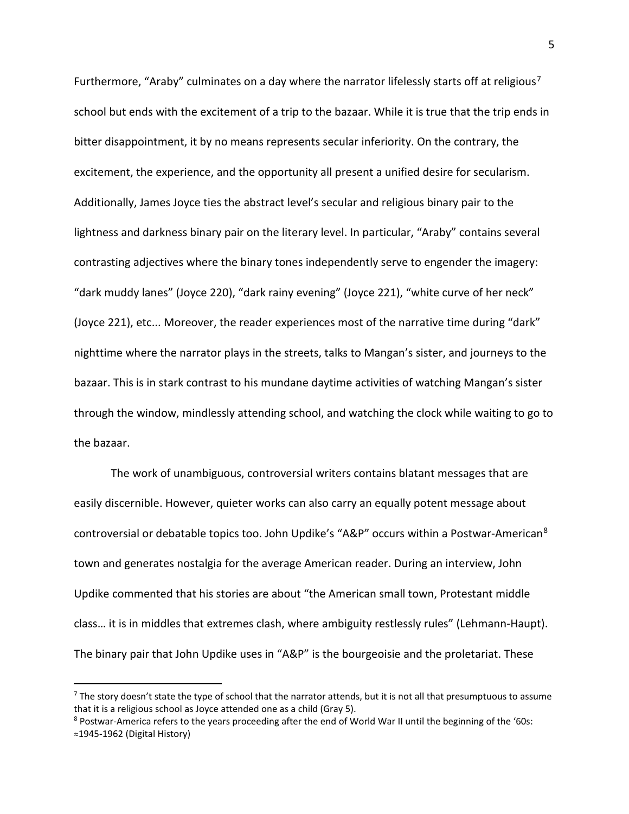Furthermore, "Araby" culminates on a day where the narrator lifelessly starts off at religious<sup>[7](#page-4-0)</sup> school but ends with the excitement of a trip to the bazaar. While it is true that the trip ends in bitter disappointment, it by no means represents secular inferiority. On the contrary, the excitement, the experience, and the opportunity all present a unified desire for secularism. Additionally, James Joyce ties the abstract level's secular and religious binary pair to the lightness and darkness binary pair on the literary level. In particular, "Araby" contains several contrasting adjectives where the binary tones independently serve to engender the imagery: "dark muddy lanes" (Joyce 220), "dark rainy evening" (Joyce 221), "white curve of her neck" (Joyce 221), etc... Moreover, the reader experiences most of the narrative time during "dark" nighttime where the narrator plays in the streets, talks to Mangan's sister, and journeys to the bazaar. This is in stark contrast to his mundane daytime activities of watching Mangan's sister through the window, mindlessly attending school, and watching the clock while waiting to go to the bazaar.

The work of unambiguous, controversial writers contains blatant messages that are easily discernible. However, quieter works can also carry an equally potent message about controversial or debatable topics too. John Updike's "A&P" occurs within a Postwar-American[8](#page-4-1) town and generates nostalgia for the average American reader. During an interview, John Updike commented that his stories are about "the American small town, Protestant middle class… it is in middles that extremes clash, where ambiguity restlessly rules" (Lehmann-Haupt). The binary pair that John Updike uses in "A&P" is the bourgeoisie and the proletariat. These

<span id="page-4-0"></span> $<sup>7</sup>$  The story doesn't state the type of school that the narrator attends, but it is not all that presumptuous to assume</sup> that it is a religious school as Joyce attended one as a child (Gray 5).<br><sup>8</sup> Postwar-America refers to the years proceeding after the end of World War II until the beginning of the '60s:

<span id="page-4-1"></span>**<sup>≈</sup>**1945-1962 (Digital History)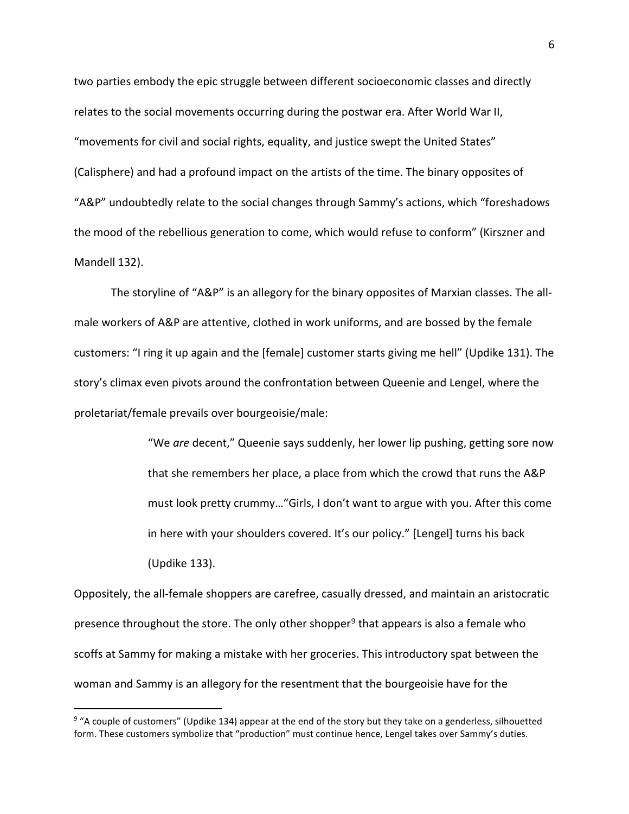two parties embody the epic struggle between different socioeconomic classes and directly relates to the social movements occurring during the postwar era. After World War II, "movements for civil and social rights, equality, and justice swept the United States" (Calisphere) and had a profound impact on the artists of the time. The binary opposites of "A&P" undoubtedly relate to the social changes through Sammy's actions, which "foreshadows the mood of the rebellious generation to come, which would refuse to conform" (Kirszner and Mandell 132).

The storyline of "A&P" is an allegory for the binary opposites of Marxian classes. The allmale workers of A&P are attentive, clothed in work uniforms, and are bossed by the female customers: "I ring it up again and the [female] customer starts giving me hell" (Updike 131). The story's climax even pivots around the confrontation between Queenie and Lengel, where the proletariat/female prevails over bourgeoisie/male:

> "We *are* decent," Queenie says suddenly, her lower lip pushing, getting sore now that she remembers her place, a place from which the crowd that runs the A&P must look pretty crummy…"Girls, I don't want to argue with you. After this come in here with your shoulders covered. It's our policy." [Lengel] turns his back (Updike 133).

Oppositely, the all-female shoppers are carefree, casually dressed, and maintain an aristocratic presence throughout the store. The only other shopper<sup>[9](#page-5-0)</sup> that appears is also a female who scoffs at Sammy for making a mistake with her groceries. This introductory spat between the woman and Sammy is an allegory for the resentment that the bourgeoisie have for the

<span id="page-5-0"></span><sup>&</sup>lt;sup>9</sup> "A couple of customers" (Updike 134) appear at the end of the story but they take on a genderless, silhouetted form. These customers symbolize that "production" must continue hence, Lengel takes over Sammy's duties.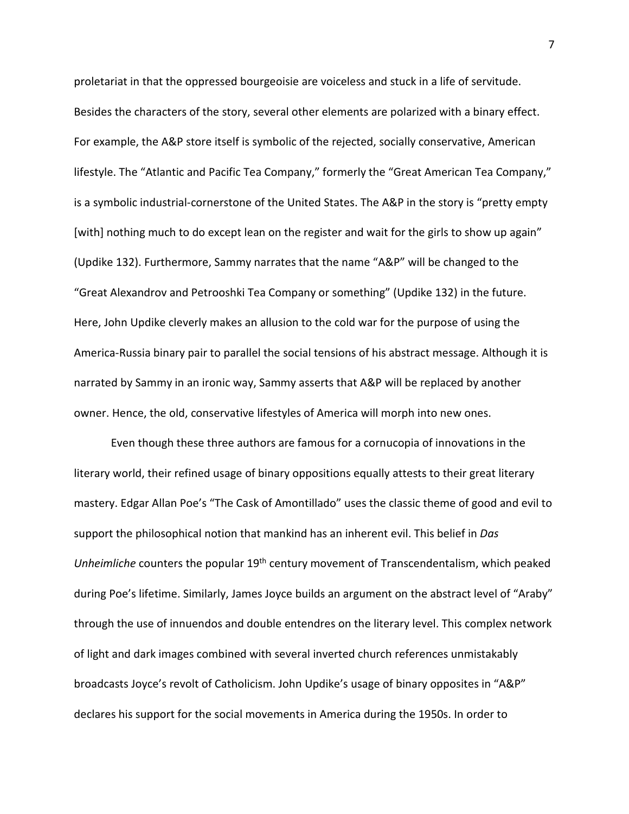proletariat in that the oppressed bourgeoisie are voiceless and stuck in a life of servitude. Besides the characters of the story, several other elements are polarized with a binary effect. For example, the A&P store itself is symbolic of the rejected, socially conservative, American lifestyle. The "Atlantic and Pacific Tea Company," formerly the "Great American Tea Company," is a symbolic industrial-cornerstone of the United States. The A&P in the story is "pretty empty [with] nothing much to do except lean on the register and wait for the girls to show up again" (Updike 132). Furthermore, Sammy narrates that the name "A&P" will be changed to the "Great Alexandrov and Petrooshki Tea Company or something" (Updike 132) in the future. Here, John Updike cleverly makes an allusion to the cold war for the purpose of using the America-Russia binary pair to parallel the social tensions of his abstract message. Although it is narrated by Sammy in an ironic way, Sammy asserts that A&P will be replaced by another owner. Hence, the old, conservative lifestyles of America will morph into new ones.

Even though these three authors are famous for a cornucopia of innovations in the literary world, their refined usage of binary oppositions equally attests to their great literary mastery. Edgar Allan Poe's "The Cask of Amontillado" uses the classic theme of good and evil to support the philosophical notion that mankind has an inherent evil. This belief in *Das Unheimliche* counters the popular 19th century movement of Transcendentalism, which peaked during Poe's lifetime. Similarly, James Joyce builds an argument on the abstract level of "Araby" through the use of innuendos and double entendres on the literary level. This complex network of light and dark images combined with several inverted church references unmistakably broadcasts Joyce's revolt of Catholicism. John Updike's usage of binary opposites in "A&P" declares his support for the social movements in America during the 1950s. In order to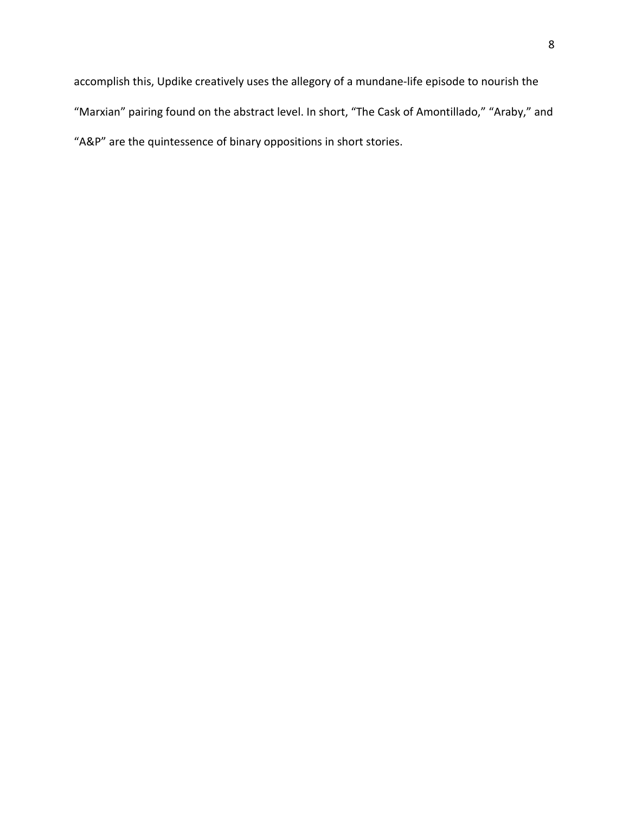accomplish this, Updike creatively uses the allegory of a mundane-life episode to nourish the "Marxian" pairing found on the abstract level. In short, "The Cask of Amontillado," "Araby," and "A&P" are the quintessence of binary oppositions in short stories.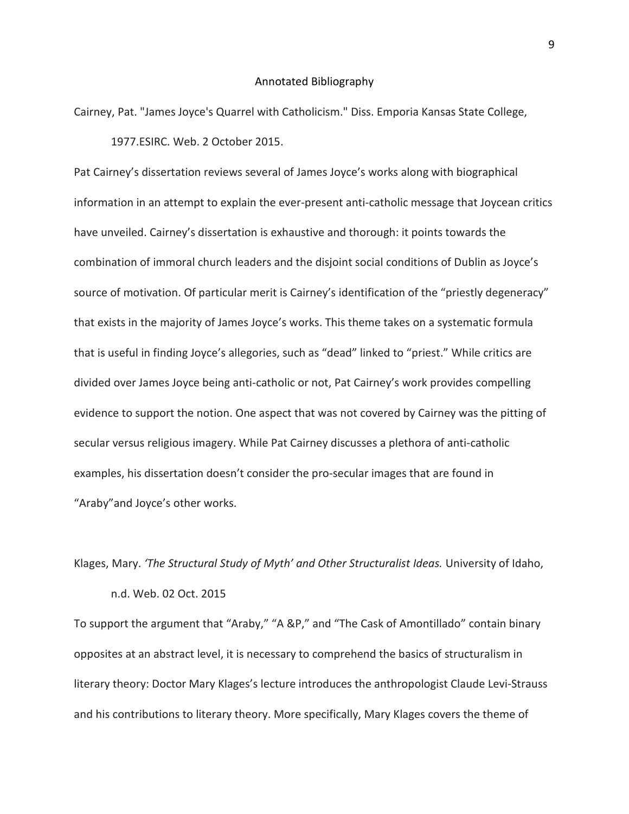### Annotated Bibliography

Cairney, Pat. "James Joyce's Quarrel with Catholicism." Diss. Emporia Kansas State College,

1977.ESIRC. Web. 2 October 2015.

Pat Cairney's dissertation reviews several of James Joyce's works along with biographical information in an attempt to explain the ever-present anti-catholic message that Joycean critics have unveiled. Cairney's dissertation is exhaustive and thorough: it points towards the combination of immoral church leaders and the disjoint social conditions of Dublin as Joyce's source of motivation. Of particular merit is Cairney's identification of the "priestly degeneracy" that exists in the majority of James Joyce's works. This theme takes on a systematic formula that is useful in finding Joyce's allegories, such as "dead" linked to "priest." While critics are divided over James Joyce being anti-catholic or not, Pat Cairney's work provides compelling evidence to support the notion. One aspect that was not covered by Cairney was the pitting of secular versus religious imagery. While Pat Cairney discusses a plethora of anti-catholic examples, his dissertation doesn't consider the pro-secular images that are found in "Araby"and Joyce's other works.

## Klages, Mary. *'The Structural Study of Myth' and Other Structuralist Ideas.* University of Idaho,

n.d. Web. 02 Oct. 2015

To support the argument that "Araby," "A &P," and "The Cask of Amontillado" contain binary opposites at an abstract level, it is necessary to comprehend the basics of structuralism in literary theory: Doctor Mary Klages's lecture introduces the anthropologist Claude Levi-Strauss and his contributions to literary theory. More specifically, Mary Klages covers the theme of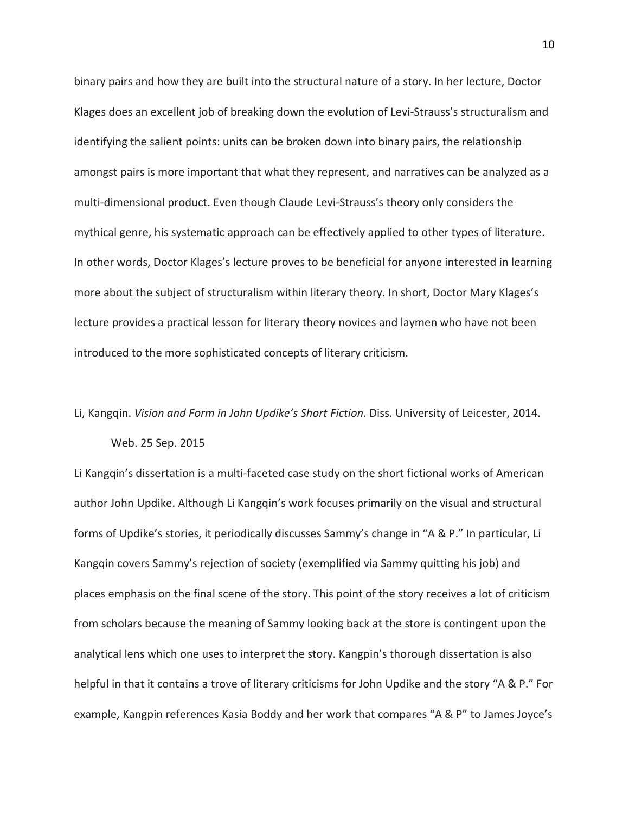binary pairs and how they are built into the structural nature of a story. In her lecture, Doctor Klages does an excellent job of breaking down the evolution of Levi-Strauss's structuralism and identifying the salient points: units can be broken down into binary pairs, the relationship amongst pairs is more important that what they represent, and narratives can be analyzed as a multi-dimensional product. Even though Claude Levi-Strauss's theory only considers the mythical genre, his systematic approach can be effectively applied to other types of literature. In other words, Doctor Klages's lecture proves to be beneficial for anyone interested in learning more about the subject of structuralism within literary theory. In short, Doctor Mary Klages's lecture provides a practical lesson for literary theory novices and laymen who have not been introduced to the more sophisticated concepts of literary criticism.

# Li, Kangqin. *Vision and Form in John Updike's Short Fiction*. Diss. University of Leicester, 2014.

### Web. 25 Sep. 2015

Li Kangqin's dissertation is a multi-faceted case study on the short fictional works of American author John Updike. Although Li Kangqin's work focuses primarily on the visual and structural forms of Updike's stories, it periodically discusses Sammy's change in "A & P." In particular, Li Kangqin covers Sammy's rejection of society (exemplified via Sammy quitting his job) and places emphasis on the final scene of the story. This point of the story receives a lot of criticism from scholars because the meaning of Sammy looking back at the store is contingent upon the analytical lens which one uses to interpret the story. Kangpin's thorough dissertation is also helpful in that it contains a trove of literary criticisms for John Updike and the story "A & P." For example, Kangpin references Kasia Boddy and her work that compares "A & P" to James Joyce's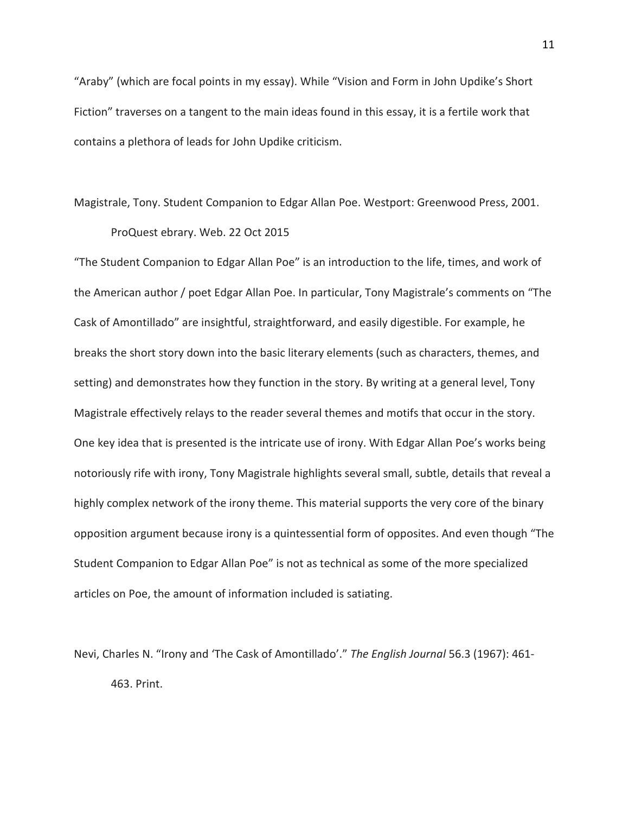"Araby" (which are focal points in my essay). While "Vision and Form in John Updike's Short Fiction" traverses on a tangent to the main ideas found in this essay, it is a fertile work that contains a plethora of leads for John Updike criticism.

### Magistrale, Tony. Student Companion to Edgar Allan Poe. Westport: Greenwood Press, 2001. ProQuest ebrary. Web. 22 Oct 2015

"The Student Companion to Edgar Allan Poe" is an introduction to the life, times, and work of the American author / poet Edgar Allan Poe. In particular, Tony Magistrale's comments on "The Cask of Amontillado" are insightful, straightforward, and easily digestible. For example, he breaks the short story down into the basic literary elements (such as characters, themes, and setting) and demonstrates how they function in the story. By writing at a general level, Tony Magistrale effectively relays to the reader several themes and motifs that occur in the story. One key idea that is presented is the intricate use of irony. With Edgar Allan Poe's works being notoriously rife with irony, Tony Magistrale highlights several small, subtle, details that reveal a highly complex network of the irony theme. This material supports the very core of the binary opposition argument because irony is a quintessential form of opposites. And even though "The Student Companion to Edgar Allan Poe" is not as technical as some of the more specialized articles on Poe, the amount of information included is satiating.

Nevi, Charles N. "Irony and 'The Cask of Amontillado'." *The English Journal* 56.3 (1967): 461- 463. Print.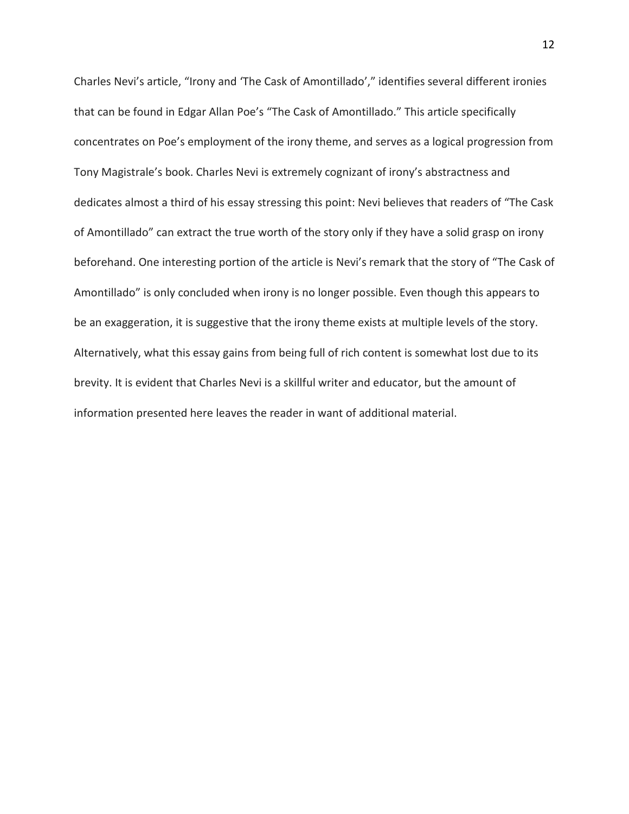Charles Nevi's article, "Irony and 'The Cask of Amontillado'," identifies several different ironies that can be found in Edgar Allan Poe's "The Cask of Amontillado." This article specifically concentrates on Poe's employment of the irony theme, and serves as a logical progression from Tony Magistrale's book. Charles Nevi is extremely cognizant of irony's abstractness and dedicates almost a third of his essay stressing this point: Nevi believes that readers of "The Cask of Amontillado" can extract the true worth of the story only if they have a solid grasp on irony beforehand. One interesting portion of the article is Nevi's remark that the story of "The Cask of Amontillado" is only concluded when irony is no longer possible. Even though this appears to be an exaggeration, it is suggestive that the irony theme exists at multiple levels of the story. Alternatively, what this essay gains from being full of rich content is somewhat lost due to its brevity. It is evident that Charles Nevi is a skillful writer and educator, but the amount of information presented here leaves the reader in want of additional material.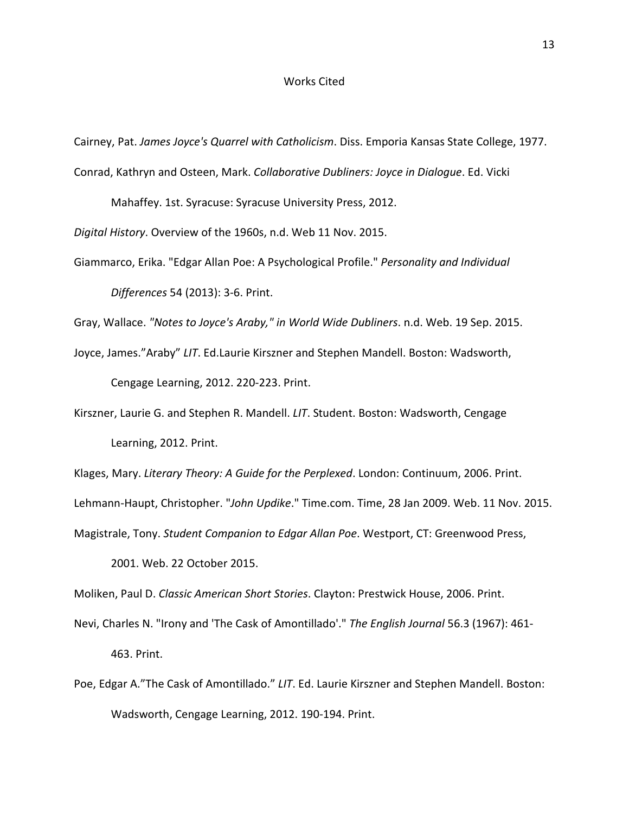### Works Cited

Cairney, Pat. *James Joyce's Quarrel with Catholicism*. Diss. Emporia Kansas State College, 1977. Conrad, Kathryn and Osteen, Mark. *Collaborative Dubliners: Joyce in Dialogue*. Ed. Vicki

Mahaffey. 1st. Syracuse: Syracuse University Press, 2012.

*Digital History*. Overview of the 1960s, n.d. Web 11 Nov. 2015.

Giammarco, Erika. "Edgar Allan Poe: A Psychological Profile." *Personality and Individual Differences* 54 (2013): 3-6. Print.

Gray, Wallace. *"Notes to Joyce's Araby," in World Wide Dubliners*. n.d. Web. 19 Sep. 2015.

Joyce, James."Araby" *LIT*. Ed.Laurie Kirszner and Stephen Mandell. Boston: Wadsworth, Cengage Learning, 2012. 220-223. Print.

Kirszner, Laurie G. and Stephen R. Mandell. *LIT*. Student. Boston: Wadsworth, Cengage Learning, 2012. Print.

Klages, Mary. *Literary Theory: A Guide for the Perplexed*. London: Continuum, 2006. Print.

Lehmann-Haupt, Christopher. "*John Updike*." Time.com. Time, 28 Jan 2009. Web. 11 Nov. 2015.

Magistrale, Tony. *Student Companion to Edgar Allan Poe*. Westport, CT: Greenwood Press,

2001. Web. 22 October 2015.

Moliken, Paul D. *Classic American Short Stories*. Clayton: Prestwick House, 2006. Print.

Nevi, Charles N. "Irony and 'The Cask of Amontillado'." *The English Journal* 56.3 (1967): 461- 463. Print.

Poe, Edgar A."The Cask of Amontillado." *LIT*. Ed. Laurie Kirszner and Stephen Mandell. Boston: Wadsworth, Cengage Learning, 2012. 190-194. Print.